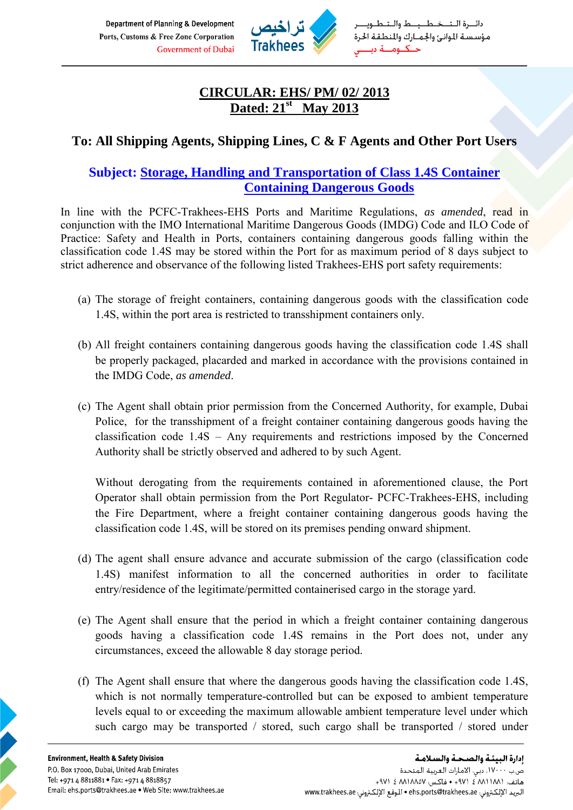Department of Planning & Development Ports, Customs & Free Zone Corporation **Government of Dubai** 



ـرة الـتـــخــطـــيـــط والــتــ مؤسسة للوانئ والجمارك والمنطقة الحرة حــكــومـــة دد

## **CIRCULAR: EHS/ PM/ 02/ 2013 Dated: 21st May 2013**

## **To: All Shipping Agents, Shipping Lines, C & F Agents and Other Port Users**

## **Subject: Storage, Handling and Transportation of Class 1.4S Container Containing Dangerous Goods**

In line with the PCFC-Trakhees-EHS Ports and Maritime Regulations, *as amended*, read in conjunction with the IMO International Maritime Dangerous Goods (IMDG) Code and ILO Code of Practice: Safety and Health in Ports, containers containing dangerous goods falling within the classification code 1.4S may be stored within the Port for as maximum period of 8 days subject to strict adherence and observance of the following listed Trakhees-EHS port safety requirements:

- (a) The storage of freight containers, containing dangerous goods with the classification code 1.4S, within the port area is restricted to transshipment containers only.
- (b) All freight containers containing dangerous goods having the classification code 1.4S shall be properly packaged, placarded and marked in accordance with the provisions contained in the IMDG Code, *as amended*.
- (c) The Agent shall obtain prior permission from the Concerned Authority, for example, Dubai Police, for the transshipment of a freight container containing dangerous goods having the classification code 1.4S – Any requirements and restrictions imposed by the Concerned Authority shall be strictly observed and adhered to by such Agent.

Without derogating from the requirements contained in aforementioned clause, the Port Operator shall obtain permission from the Port Regulator- PCFC-Trakhees-EHS, including the Fire Department, where a freight container containing dangerous goods having the classification code 1.4S, will be stored on its premises pending onward shipment.

- (d) The agent shall ensure advance and accurate submission of the cargo (classification code 1.4S) manifest information to all the concerned authorities in order to facilitate entry/residence of the legitimate/permitted containerised cargo in the storage yard.
- (e) The Agent shall ensure that the period in which a freight container containing dangerous goods having a classification code 1.4S remains in the Port does not, under any circumstances, exceed the allowable 8 day storage period.
- (f) The Agent shall ensure that where the dangerous goods having the classification code 1.4S, which is not normally temperature-controlled but can be exposed to ambient temperature levels equal to or exceeding the maximum allowable ambient temperature level under which such cargo may be transported / stored, such cargo shall be transported / stored under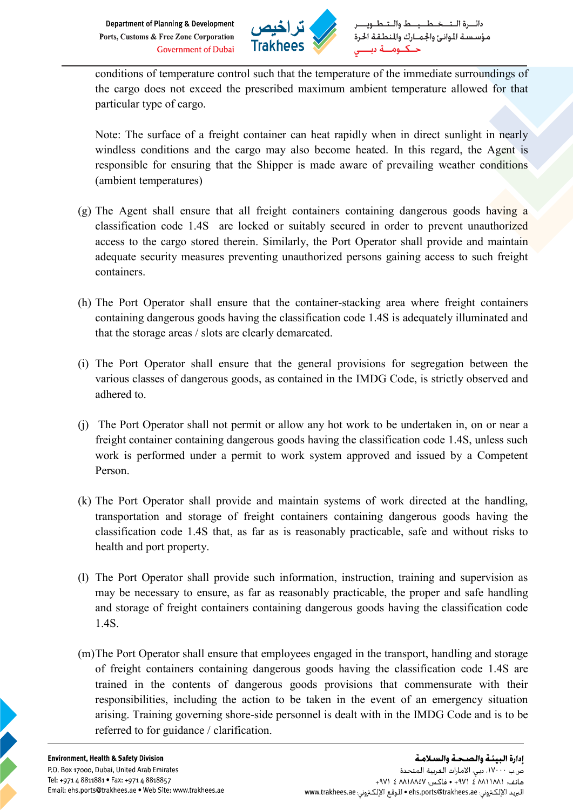

conditions of temperature control such that the temperature of the immediate surroundings of the cargo does not exceed the prescribed maximum ambient temperature allowed for that particular type of cargo.

Note: The surface of a freight container can heat rapidly when in direct sunlight in nearly windless conditions and the cargo may also become heated. In this regard, the Agent is responsible for ensuring that the Shipper is made aware of prevailing weather conditions (ambient temperatures)

- (g) The Agent shall ensure that all freight containers containing dangerous goods having a classification code 1.4S are locked or suitably secured in order to prevent unauthorized access to the cargo stored therein. Similarly, the Port Operator shall provide and maintain adequate security measures preventing unauthorized persons gaining access to such freight containers.
- (h) The Port Operator shall ensure that the container-stacking area where freight containers containing dangerous goods having the classification code 1.4S is adequately illuminated and that the storage areas / slots are clearly demarcated.
- (i) The Port Operator shall ensure that the general provisions for segregation between the various classes of dangerous goods, as contained in the IMDG Code, is strictly observed and adhered to.
- (j) The Port Operator shall not permit or allow any hot work to be undertaken in, on or near a freight container containing dangerous goods having the classification code 1.4S, unless such work is performed under a permit to work system approved and issued by a Competent Person.
- (k) The Port Operator shall provide and maintain systems of work directed at the handling, transportation and storage of freight containers containing dangerous goods having the classification code 1.4S that, as far as is reasonably practicable, safe and without risks to health and port property.
- (l) The Port Operator shall provide such information, instruction, training and supervision as may be necessary to ensure, as far as reasonably practicable, the proper and safe handling and storage of freight containers containing dangerous goods having the classification code 1.4S.
- (m)The Port Operator shall ensure that employees engaged in the transport, handling and storage of freight containers containing dangerous goods having the classification code 1.4S are trained in the contents of dangerous goods provisions that commensurate with their responsibilities, including the action to be taken in the event of an emergency situation arising. Training governing shore-side personnel is dealt with in the IMDG Code and is to be referred to for guidance / clarification.